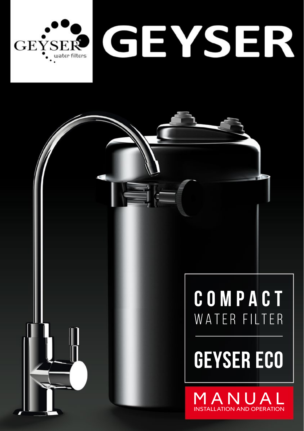

# COMPACT WATER FILTER

# **GEYSER ECO**

MANUAI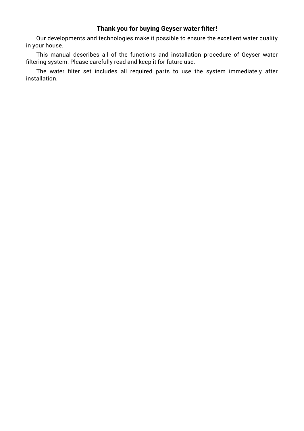## **Thank you for buying Geyser water filter!**

Our developments and technologies make it possible to ensure the excellent water quality in your house.

This manual describes all of the functions and installation procedure of Geyser water filtering system. Please carefully read and keep it for future use.

The water filter set includes all required parts to use the system immediately after installation.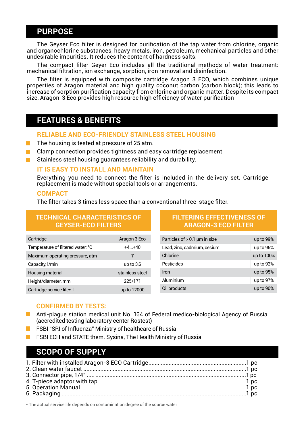## **PURPOSE**

The Gevser Eco filter is designed for purification of the tap water from chlorine, organic and organochlorine substances, heavy metals, iron, petroleum, mechanical particles and other undesirable impurities. It reduces the content of hardness salts.

The compact filter Gever Eco includes all the traditional methods of water treatment: mechanical filtration, ion exchange, sorption, iron removal and disinfection.

The filter is equipped with composite cartridge Aragon 3 ECO, which combines unique properties of Aragon material and high quality coconut carbon (carbon block); this leads to increase of sorption purification capacity from chlorine and organic matter. Despite its compact size, Aragon-3 Eco provides high resource high efficiency of water purification

# **FEATURES & BENEFITS**

#### **RELIABLE AND ECO-FRIENDLY STAINLESS STEEL HOUSING**

- The housing is tested at pressure of 25 atm.
- Clamp connection provides tightness and easy cartridge replacement. m.
- Stainless steel housing quarantees reliability and durability.

#### IT IS FASY TO INSTALL AND MAINTAIN

Everything you need to connect the filter is included in the delivery set. Cartridge replacement is made without special tools or arrangements.

#### **COMPACT**

The filter takes 3 times less space than a conventional three-stage filter.

| <b>TECHNICAL CHARACTERISTICS OF</b><br><b>GEYSER-ECO FILTERS</b> |                 | <b>FILTERING EFFECTIVENESS OF</b><br><b>ARAGON-3 ECO FILTER</b> |             |
|------------------------------------------------------------------|-----------------|-----------------------------------------------------------------|-------------|
| Cartridge                                                        | Aragon 3 Eco    | Particles of $> 0.1$ µm in size                                 | up to 99%   |
| Temperature of filtered water: °C                                | $+4. +40$       | Lead, zinc, cadmium, cesium                                     | up to 95%   |
| Maximum operating pressure, atm                                  |                 | Chlorine                                                        | up to 100%  |
| Capacity, I/min                                                  | up to $3,6$     | Pesticides                                                      | up to 92%   |
| Housing material                                                 | stainless steel | Iron                                                            | up to $95%$ |
| Height/diameter, mm                                              | 225/171         | Aluminium                                                       | up to 97%   |
| Cartridge service life*, I                                       | up to 12000     | Oil products                                                    | up to 90%   |
|                                                                  |                 |                                                                 |             |

#### **CONFIRMED BY TESTS:**

- Anti-plaque station medical unit No. 164 of Federal medico-biological Agency of Russia (accredited testing laboratory center Rostest)
- FSBI "SRI of Influenza" Ministry of healthcare of Russia
- FSBI ECH and STATE them. Sysina, The Health Ministry of Russia

## **SCOPO OF SUPPLY**

\* The actual service life depends on contamination degree of the source water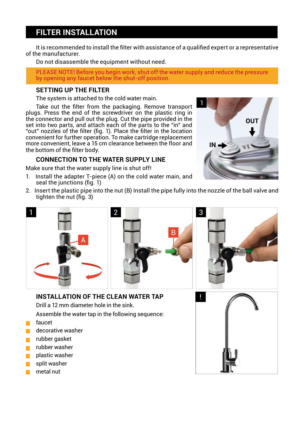# **FILTER INSTALLATION**

It is recommended to install the filter with assistance of a qualified expert or a representative of the manufacturer.

Do not disassemble the equipment without need.

PLEASE NOTE! Before you begin work, shut off the water supply and reduce the pressure by opening any faucet below the shut-off position.

#### **SETTING UP THE FILTER**

The system is attached to the cold water main.

Take out the filter from the packaging. Remove transport plugs. Press the end of the screwdriver on the plastic ring in the connector and pull out the plug. Cut the pipe provided in the set into two parts, and attach each of the parts to the "in" and "out" nozzles of the filter (fig. 1). Place the filter in the location convenient for further operation. To make cartridge replacement more convenient, leave a 15 cm clearance between the floor and the bottom of the filter body.

### **CONNECTION TO THE WATER SUPPLY LINE**

Make sure that the water supply line is shut off!

- 1. Install the adapter T-piece (A) on the cold water main, and seal the junctions (fig. 1)
- 2. Insert the plastic pipe into the nut (B) Install the pipe fully into the nozzle of the ball valve and tighten the nut (fig. 3)





!

**INSTALLATION OF THE CLEAN WATER TAP** 

Drill a 12 mm diameter hole in the sink.

Assemble the water tap in the following sequence:

- faucet
- decorative washer
- rubber gasket
- rubber washer
- plastic washer
- split washer
- metal nut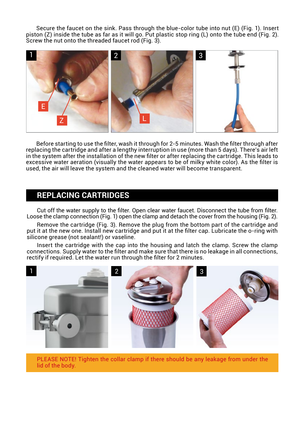Secure the faucet on the sink. Pass through the blue-color tube into nut (Е) (Fig. 1). Insert piston (Z) inside the tube as far as it will go. Put plastic stop ring (L) onto the tube end (Fig. 2). Screw the nut onto the threaded faucet rod (Fig. 3).



Before starting to use the filter, wash it through for 2-5 minutes. Wash the filter through after replacing the cartridge and after a lengthy interruption in use (more than 5 days). There's air left in the system after the installation of the new filter or after replacing the cartridge. This leads to excessive water aeration (visually the water appears to be of milky white color). As the filter is used, the air will leave the system and the cleaned water will become transparent.

## **REPLACING CARTRIDGES**

Cut off the water supply to the filter. Open clear water faucet. Disconnect the tube from filter. Loose the clamp connection (Fig. 1) open the clamp and detach the cover from the housing (Fig. 2).

Remove the cartridge (Fig. 3). Remove the plug from the bottom part of the cartridge and put it at the new one. Install new cartridge and put it at the filter cap. Lubricate the o-ring with silicone grease (not sealant!) or vaseline.

Insert the cartridge with the cap into the housing and latch the clamp. Screw the clamp connections. Supply water to the filter and make sure that there is no leakage in all connections, rectify if required. Let the water run through the filter for 2 minutes.



PLEASE NOTE! Tighten the collar clamp if there should be any leakage from under the lid of the body.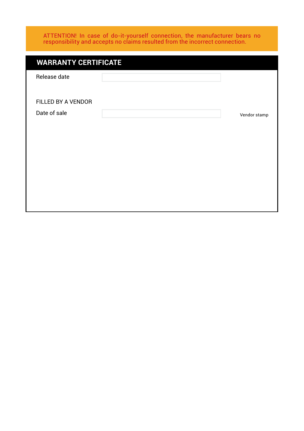ATTENTION! In case of do-it-yourself connection, the manufacturer bears no responsibility and accepts no claims resulted from the incorrect connection.

| <b>WARRANTY CERTIFICATE</b> |  |              |
|-----------------------------|--|--------------|
| Release date                |  |              |
|                             |  |              |
| FILLED BY A VENDOR          |  |              |
| Date of sale                |  | Vendor stamp |
|                             |  |              |
|                             |  |              |
|                             |  |              |
|                             |  |              |
|                             |  |              |
|                             |  |              |
|                             |  |              |
|                             |  |              |